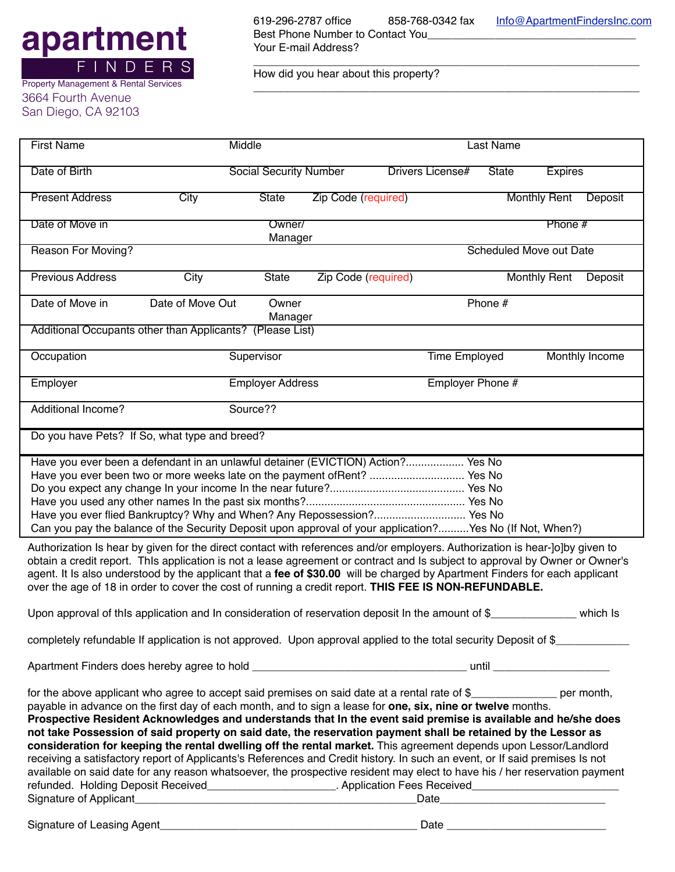## **apartment** F I N D E R S

Property Management & Rental Services

3664 Fourth Avenue San Diego, CA 92103 619-296-2787 office 858-768-0342 fax [Info@ApartmentFindersInc.com](mailto:Info@ApartmentFindersInc.com) Best Phone Number to Contact You\_\_\_\_\_\_\_ Your E-mail Address?

\_\_\_\_\_\_\_\_\_\_\_\_\_\_\_\_\_\_\_\_\_\_\_\_\_\_\_\_\_\_\_\_\_\_\_\_\_\_\_\_\_\_\_\_\_\_\_\_\_\_\_\_\_\_\_\_\_\_\_\_\_\_\_

\_\_\_\_\_\_\_\_\_\_\_\_\_\_\_\_\_\_\_\_\_\_\_\_\_\_\_\_\_\_\_\_\_\_\_\_\_\_\_\_\_\_\_\_\_\_\_\_\_\_\_\_\_\_\_\_\_\_\_\_\_\_\_

How did you hear about this property?

| <b>First Name</b>                                                                                                                                                                                                                                                                                                                                                                                                                                                                                                                                                                                                                                                                                                                                                                                                                                                                                                                                                            | Middle                                                                                                                                                                                                                                                                                                                                              |                  |                            | Last Name           |                                                    |                         |                     |                |  |
|------------------------------------------------------------------------------------------------------------------------------------------------------------------------------------------------------------------------------------------------------------------------------------------------------------------------------------------------------------------------------------------------------------------------------------------------------------------------------------------------------------------------------------------------------------------------------------------------------------------------------------------------------------------------------------------------------------------------------------------------------------------------------------------------------------------------------------------------------------------------------------------------------------------------------------------------------------------------------|-----------------------------------------------------------------------------------------------------------------------------------------------------------------------------------------------------------------------------------------------------------------------------------------------------------------------------------------------------|------------------|----------------------------|---------------------|----------------------------------------------------|-------------------------|---------------------|----------------|--|
| Date of Birth                                                                                                                                                                                                                                                                                                                                                                                                                                                                                                                                                                                                                                                                                                                                                                                                                                                                                                                                                                | <b>Social Security Number</b>                                                                                                                                                                                                                                                                                                                       |                  |                            |                     | Drivers License#<br><b>State</b><br><b>Expires</b> |                         |                     |                |  |
| <b>Present Address</b>                                                                                                                                                                                                                                                                                                                                                                                                                                                                                                                                                                                                                                                                                                                                                                                                                                                                                                                                                       | City                                                                                                                                                                                                                                                                                                                                                | <b>State</b>     | <b>Zip Code (required)</b> |                     |                                                    |                         | <b>Monthly Rent</b> | Deposit        |  |
| Date of Move in                                                                                                                                                                                                                                                                                                                                                                                                                                                                                                                                                                                                                                                                                                                                                                                                                                                                                                                                                              |                                                                                                                                                                                                                                                                                                                                                     | Owner/           |                            |                     |                                                    |                         | Phone #             |                |  |
| Reason For Moving?                                                                                                                                                                                                                                                                                                                                                                                                                                                                                                                                                                                                                                                                                                                                                                                                                                                                                                                                                           |                                                                                                                                                                                                                                                                                                                                                     | Manager          |                            |                     |                                                    | Scheduled Move out Date |                     |                |  |
|                                                                                                                                                                                                                                                                                                                                                                                                                                                                                                                                                                                                                                                                                                                                                                                                                                                                                                                                                                              |                                                                                                                                                                                                                                                                                                                                                     |                  |                            |                     |                                                    |                         |                     |                |  |
| <b>Previous Address</b>                                                                                                                                                                                                                                                                                                                                                                                                                                                                                                                                                                                                                                                                                                                                                                                                                                                                                                                                                      | City                                                                                                                                                                                                                                                                                                                                                | <b>State</b>     |                            | Zip Code (required) |                                                    |                         | <b>Monthly Rent</b> | Deposit        |  |
| Date of Move in                                                                                                                                                                                                                                                                                                                                                                                                                                                                                                                                                                                                                                                                                                                                                                                                                                                                                                                                                              | Date of Move Out                                                                                                                                                                                                                                                                                                                                    | Owner<br>Manager |                            |                     |                                                    | Phone #                 |                     |                |  |
|                                                                                                                                                                                                                                                                                                                                                                                                                                                                                                                                                                                                                                                                                                                                                                                                                                                                                                                                                                              | Additional Occupants other than Applicants? (Please List)                                                                                                                                                                                                                                                                                           |                  |                            |                     |                                                    |                         |                     |                |  |
| Occupation                                                                                                                                                                                                                                                                                                                                                                                                                                                                                                                                                                                                                                                                                                                                                                                                                                                                                                                                                                   |                                                                                                                                                                                                                                                                                                                                                     | Supervisor       |                            |                     | Time Employed                                      |                         |                     | Monthly Income |  |
| Employer                                                                                                                                                                                                                                                                                                                                                                                                                                                                                                                                                                                                                                                                                                                                                                                                                                                                                                                                                                     | <b>Employer Address</b>                                                                                                                                                                                                                                                                                                                             |                  |                            |                     | Employer Phone #                                   |                         |                     |                |  |
| <b>Additional Income?</b>                                                                                                                                                                                                                                                                                                                                                                                                                                                                                                                                                                                                                                                                                                                                                                                                                                                                                                                                                    |                                                                                                                                                                                                                                                                                                                                                     | Source??         |                            |                     |                                                    |                         |                     |                |  |
|                                                                                                                                                                                                                                                                                                                                                                                                                                                                                                                                                                                                                                                                                                                                                                                                                                                                                                                                                                              | Do you have Pets? If So, what type and breed?                                                                                                                                                                                                                                                                                                       |                  |                            |                     |                                                    |                         |                     |                |  |
|                                                                                                                                                                                                                                                                                                                                                                                                                                                                                                                                                                                                                                                                                                                                                                                                                                                                                                                                                                              | Have you ever been a defendant in an unlawful detainer (EVICTION) Action? Yes No<br>Have you ever been two or more weeks late on the payment of Rent?  Yes No<br>Have you ever flied Bankruptcy? Why and When? Any Repossession? Yes No<br>Can you pay the balance of the Security Deposit upon approval of your application?Yes No (If Not, When?) |                  |                            |                     |                                                    |                         |                     |                |  |
| Authorization Is hear by given for the direct contact with references and/or employers. Authorization is hear-]o]by given to<br>obtain a credit report. ThIs application is not a lease agreement or contract and Is subject to approval by Owner or Owner's<br>agent. It Is also understood by the applicant that a fee of \$30.00 will be charged by Apartment Finders for each applicant<br>over the age of 18 in order to cover the cost of running a credit report. THIS FEE IS NON-REFUNDABLE.                                                                                                                                                                                                                                                                                                                                                                                                                                                                         |                                                                                                                                                                                                                                                                                                                                                     |                  |                            |                     |                                                    |                         |                     |                |  |
| Upon approval of this application and in consideration of reservation deposit in the amount of \$<br>$\_$ which Is                                                                                                                                                                                                                                                                                                                                                                                                                                                                                                                                                                                                                                                                                                                                                                                                                                                           |                                                                                                                                                                                                                                                                                                                                                     |                  |                            |                     |                                                    |                         |                     |                |  |
| completely refundable If application is not approved. Upon approval applied to the total security Deposit of \$                                                                                                                                                                                                                                                                                                                                                                                                                                                                                                                                                                                                                                                                                                                                                                                                                                                              |                                                                                                                                                                                                                                                                                                                                                     |                  |                            |                     |                                                    |                         |                     |                |  |
|                                                                                                                                                                                                                                                                                                                                                                                                                                                                                                                                                                                                                                                                                                                                                                                                                                                                                                                                                                              |                                                                                                                                                                                                                                                                                                                                                     |                  |                            |                     |                                                    |                         |                     |                |  |
| for the above applicant who agree to accept said premises on said date at a rental rate of \$_________________ per month,<br>payable in advance on the first day of each month, and to sign a lease for one, six, nine or twelve months.<br>Prospective Resident Acknowledges and understands that In the event said premise is available and he/she does<br>not take Possession of said property on said date, the reservation payment shall be retained by the Lessor as<br>consideration for keeping the rental dwelling off the rental market. This agreement depends upon Lessor/Landlord<br>receiving a satisfactory report of Applicants's References and Credit history. In such an event, or If said premises Is not<br>available on said date for any reason whatsoever, the prospective resident may elect to have his / her reservation payment<br>refunded. Holding Deposit Received________________________. Application Fees Received________________________ |                                                                                                                                                                                                                                                                                                                                                     |                  |                            |                     |                                                    |                         |                     |                |  |
|                                                                                                                                                                                                                                                                                                                                                                                                                                                                                                                                                                                                                                                                                                                                                                                                                                                                                                                                                                              |                                                                                                                                                                                                                                                                                                                                                     |                  |                            |                     |                                                    |                         |                     |                |  |